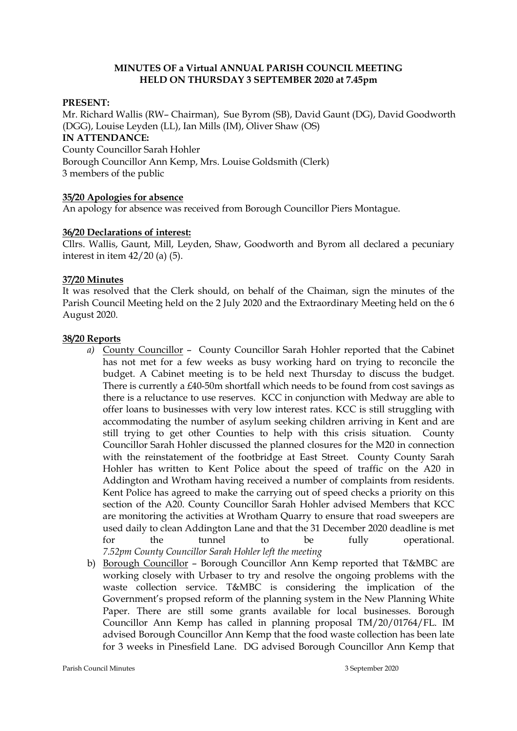## **MINUTES OF a Virtual ANNUAL PARISH COUNCIL MEETING HELD ON THURSDAY 3 SEPTEMBER 2020 at 7.45pm**

## **PRESENT:**

Mr. Richard Wallis (RW– Chairman), Sue Byrom (SB), David Gaunt (DG), David Goodworth (DGG), Louise Leyden (LL), Ian Mills (IM), Oliver Shaw (OS) **IN ATTENDANCE:** County Councillor Sarah Hohler Borough Councillor Ann Kemp, Mrs. Louise Goldsmith (Clerk) 3 members of the public

## **35/20 Apologies for absence**

An apology for absence was received from Borough Councillor Piers Montague.

## **36/20 Declarations of interest:**

Cllrs. Wallis, Gaunt, Mill, Leyden, Shaw, Goodworth and Byrom all declared a pecuniary interest in item  $42/20$  (a) (5).

## **37/20 Minutes**

It was resolved that the Clerk should, on behalf of the Chaiman, sign the minutes of the Parish Council Meeting held on the 2 July 2020 and the Extraordinary Meeting held on the 6 August 2020.

### **38/20 Reports**

- *a)* County Councillor County Councillor Sarah Hohler reported that the Cabinet has not met for a few weeks as busy working hard on trying to reconcile the budget. A Cabinet meeting is to be held next Thursday to discuss the budget. There is currently a £40-50m shortfall which needs to be found from cost savings as there is a reluctance to use reserves. KCC in conjunction with Medway are able to offer loans to businesses with very low interest rates. KCC is still struggling with accommodating the number of asylum seeking children arriving in Kent and are still trying to get other Counties to help with this crisis situation. County Councillor Sarah Hohler discussed the planned closures for the M20 in connection with the reinstatement of the footbridge at East Street. County County Sarah Hohler has written to Kent Police about the speed of traffic on the A20 in Addington and Wrotham having received a number of complaints from residents. Kent Police has agreed to make the carrying out of speed checks a priority on this section of the A20. County Councillor Sarah Hohler advised Members that KCC are monitoring the activities at Wrotham Quarry to ensure that road sweepers are used daily to clean Addington Lane and that the 31 December 2020 deadline is met for the tunnel to be fully operational. *7.52pm County Councillor Sarah Hohler left the meeting*
- b) Borough Councillor Borough Councillor Ann Kemp reported that T&MBC are working closely with Urbaser to try and resolve the ongoing problems with the waste collection service. T&MBC is considering the implication of the Government's propsed reform of the planning system in the New Planning White Paper. There are still some grants available for local businesses. Borough Councillor Ann Kemp has called in planning proposal TM/20/01764/FL. IM advised Borough Councillor Ann Kemp that the food waste collection has been late for 3 weeks in Pinesfield Lane. DG advised Borough Councillor Ann Kemp that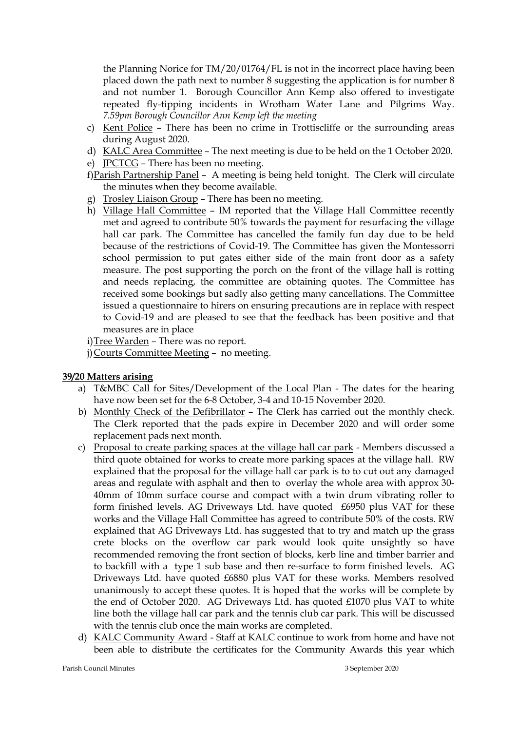the Planning Norice for TM/20/01764/FL is not in the incorrect place having been placed down the path next to number 8 suggesting the application is for number 8 and not number 1. Borough Councillor Ann Kemp also offered to investigate repeated fly-tipping incidents in Wrotham Water Lane and Pilgrims Way. *7.59pm Borough Councillor Ann Kemp left the meeting*

- c) Kent Police There has been no crime in Trottiscliffe or the surrounding areas during August 2020.
- d) KALC Area Committee The next meeting is due to be held on the 1 October 2020.
- e) JPCTCG There has been no meeting.
- f)Parish Partnership Panel A meeting is being held tonight. The Clerk will circulate the minutes when they become available.
- g) Trosley Liaison Group There has been no meeting.
- h) Village Hall Committee IM reported that the Village Hall Committee recently met and agreed to contribute 50% towards the payment for resurfacing the village hall car park. The Committee has cancelled the family fun day due to be held because of the restrictions of Covid-19. The Committee has given the Montessorri school permission to put gates either side of the main front door as a safety measure. The post supporting the porch on the front of the village hall is rotting and needs replacing, the committee are obtaining quotes. The Committee has received some bookings but sadly also getting many cancellations. The Committee issued a questionnaire to hirers on ensuring precautions are in replace with respect to Covid-19 and are pleased to see that the feedback has been positive and that measures are in place

i)Tree Warden – There was no report.

j)Courts Committee Meeting – no meeting.

# **39/20 Matters arising**

- a) T&MBC Call for Sites/Development of the Local Plan The dates for the hearing have now been set for the 6-8 October, 3-4 and 10-15 November 2020.
- b) Monthly Check of the Defibrillator The Clerk has carried out the monthly check. The Clerk reported that the pads expire in December 2020 and will order some replacement pads next month.
- c) Proposal to create parking spaces at the village hall car park Members discussed a third quote obtained for works to create more parking spaces at the village hall. RW explained that the proposal for the village hall car park is to to cut out any damaged areas and regulate with asphalt and then to overlay the whole area with approx 30- 40mm of 10mm surface course and compact with a twin drum vibrating roller to form finished levels. AG Driveways Ltd. have quoted £6950 plus VAT for these works and the Village Hall Committee has agreed to contribute 50% of the costs. RW explained that AG Driveways Ltd. has suggested that to try and match up the grass crete blocks on the overflow car park would look quite unsightly so have recommended removing the front section of blocks, kerb line and timber barrier and to backfill with a type 1 sub base and then re-surface to form finished levels. AG Driveways Ltd. have quoted £6880 plus VAT for these works. Members resolved unanimously to accept these quotes. It is hoped that the works will be complete by the end of October 2020. AG Driveways Ltd. has quoted £1070 plus VAT to white line both the village hall car park and the tennis club car park. This will be discussed with the tennis club once the main works are completed.
- d) KALC Community Award Staff at KALC continue to work from home and have not been able to distribute the certificates for the Community Awards this year which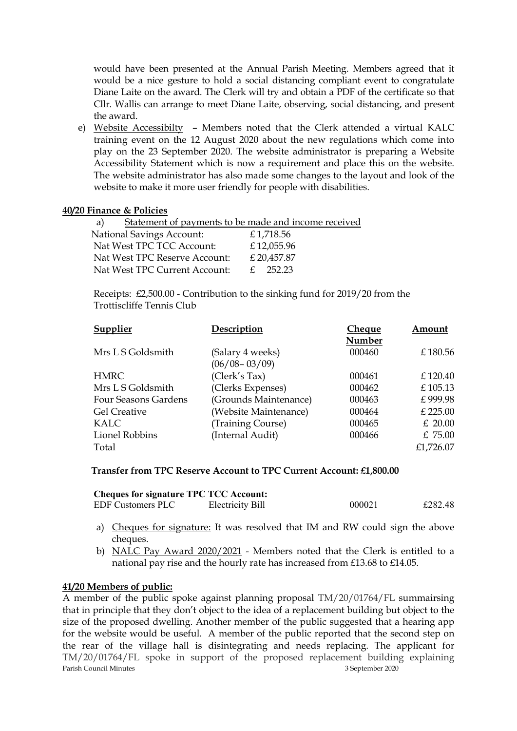would have been presented at the Annual Parish Meeting. Members agreed that it would be a nice gesture to hold a social distancing compliant event to congratulate Diane Laite on the award. The Clerk will try and obtain a PDF of the certificate so that Cllr. Wallis can arrange to meet Diane Laite, observing, social distancing, and present the award.

e) Website Accessibilty – Members noted that the Clerk attended a virtual KALC training event on the 12 August 2020 about the new regulations which come into play on the 23 September 2020. The website administrator is preparing a Website Accessibility Statement which is now a requirement and place this on the website. The website administrator has also made some changes to the layout and look of the website to make it more user friendly for people with disabilities.

## **40/20 Finance & Policies**

| Statement of payments to be made and income received |
|------------------------------------------------------|
| £1,718.56                                            |
| £12,055.96                                           |
| £ 20,457.87                                          |
| $f = 25223$                                          |
|                                                      |

 Receipts: £2,500.00 - Contribution to the sinking fund for 2019/20 from the Trottiscliffe Tennis Club

| Supplier             | Description           | Cheque | Amount    |
|----------------------|-----------------------|--------|-----------|
|                      |                       | Number |           |
| Mrs L S Goldsmith    | (Salary 4 weeks)      | 000460 | £180.56   |
|                      | $(06/08 - 03/09)$     |        |           |
| <b>HMRC</b>          | (Clerk's Tax)         | 000461 | £120.40   |
| Mrs L S Goldsmith    | (Clerks Expenses)     | 000462 | £105.13   |
| Four Seasons Gardens | (Grounds Maintenance) | 000463 | £999.98   |
| <b>Gel Creative</b>  | (Website Maintenance) | 000464 | £ 225.00  |
| KALC                 | (Training Course)     | 000465 | $£$ 20.00 |
| Lionel Robbins       | (Internal Audit)      | 000466 | £ 75.00   |
| Total                |                       |        | £1,726.07 |

### **Transfer from TPC Reserve Account to TPC Current Account: £1,800.00**

| <b>Cheques for signature TPC TCC Account:</b> |                  |        |         |
|-----------------------------------------------|------------------|--------|---------|
| <b>EDF Customers PLC</b>                      | Electricity Bill | 000021 | £282.48 |

- a) Cheques for signature: It was resolved that IM and RW could sign the above cheques.
- b) NALC Pay Award 2020/2021 Members noted that the Clerk is entitled to a national pay rise and the hourly rate has increased from £13.68 to £14.05.

### **41/20 Members of public:**

Parish Council Minutes **2020 Parish Council Minutes** 3 September 2020 A member of the public spoke against planning proposal TM/20/01764/FL summairsing that in principle that they don't object to the idea of a replacement building but object to the size of the proposed dwelling. Another member of the public suggested that a hearing app for the website would be useful. A member of the public reported that the second step on the rear of the village hall is disintegrating and needs replacing. The applicant for TM/20/01764/FL spoke in support of the proposed replacement building explaining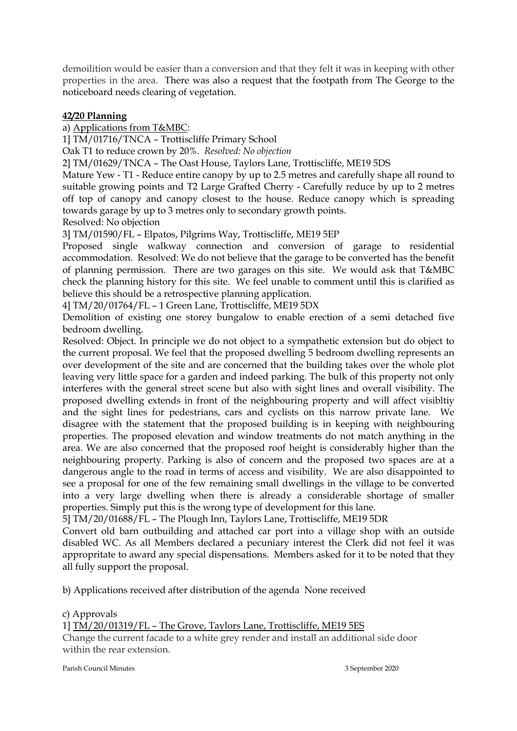demoilition would be easier than a conversion and that they felt it was in keeping with other properties in the area. There was also a request that the footpath from The George to the noticeboard needs clearing of vegetation.

# **42/20 Planning**

a) Applications from T&MBC:

1] TM/01716/TNCA – Trottiscliffe Primary School

Oak T1 to reduce crown by 20%. *Resolved: No objection*

2] TM/01629/TNCA – The Oast House, Taylors Lane, Trottiscliffe, ME19 5DS

Mature Yew - T1 - Reduce entire canopy by up to 2.5 metres and carefully shape all round to suitable growing points and T2 Large Grafted Cherry - Carefully reduce by up to 2 metres off top of canopy and canopy closest to the house. Reduce canopy which is spreading towards garage by up to 3 metres only to secondary growth points.

Resolved: No objection

3] TM/01590/FL – Elpatos, Pilgrims Way, Trottiscliffe, ME19 5EP

Proposed single walkway connection and conversion of garage to residential accommodation. Resolved: We do not believe that the garage to be converted has the benefit of planning permission. There are two garages on this site. We would ask that T&MBC check the planning history for this site. We feel unable to comment until this is clarified as believe this should be a retrospective planning application.

4] TM/20/01764/FL – 1 Green Lane, Trottiscliffe, ME19 5DX

Demolition of existing one storey bungalow to enable erection of a semi detached five bedroom dwelling.

Resolved: Object. In principle we do not object to a sympathetic extension but do object to the current proposal. We feel that the proposed dwelling 5 bedroom dwelling represents an over development of the site and are concerned that the building takes over the whole plot leaving very little space for a garden and indeed parking. The bulk of this property not only interferes with the general street scene but also with sight lines and overall visibility. The proposed dwelling extends in front of the neighbouring property and will affect visibltiy and the sight lines for pedestrians, cars and cyclists on this narrow private lane. We disagree with the statement that the proposed building is in keeping with neighbouring properties. The proposed elevation and window treatments do not match anything in the area. We are also concerned that the proposed roof height is considerably higher than the neighbouring property. Parking is also of concern and the proposed two spaces are at a dangerous angle to the road in terms of access and visibility. We are also disappointed to see a proposal for one of the few remaining small dwellings in the village to be converted into a very large dwelling when there is already a considerable shortage of smaller properties. Simply put this is the wrong type of development for this lane.

5] TM/20/01688/FL – The Plough Inn, Taylors Lane, Trottiscliffe, ME19 5DR

Convert old barn outbuilding and attached car port into a village shop with an outside disabled WC. As all Members declared a pecuniary interest the Clerk did not feel it was appropritate to award any special dispensations. Members asked for it to be noted that they all fully support the proposal.

b) Applications received after distribution of the agenda None received

# c) Approvals

1] TM/20/01319/FL – The Grove, Taylors Lane, Trottiscliffe, ME19 5ES Change the current facade to a white grey render and install an additional side door within the rear extension.

Parish Council Minutes 3 September 2020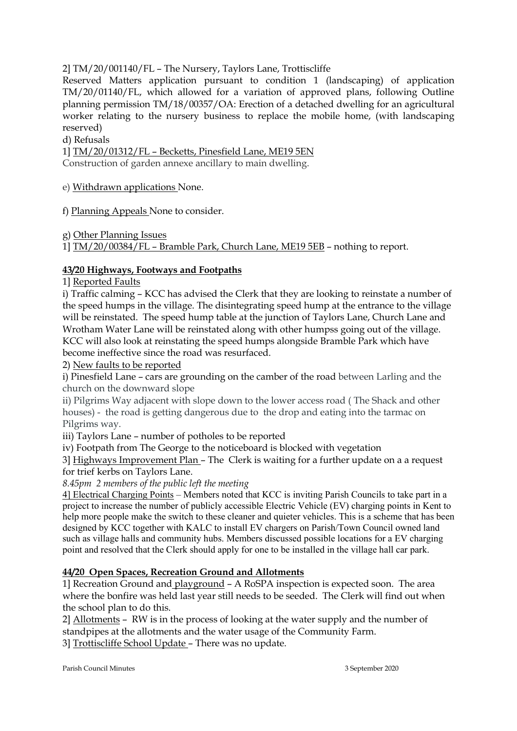2] TM/20/001140/FL – The Nursery, Taylors Lane, Trottiscliffe

Reserved Matters application pursuant to condition 1 (landscaping) of application TM/20/01140/FL, which allowed for a variation of approved plans, following Outline planning permission TM/18/00357/OA: Erection of a detached dwelling for an agricultural worker relating to the nursery business to replace the mobile home, (with landscaping reserved)

d) Refusals

1] TM/20/01312/FL – Becketts, Pinesfield Lane, ME19 5EN

Construction of garden annexe ancillary to main dwelling.

e) Withdrawn applications None.

f) Planning Appeals None to consider.

g) Other Planning Issues

1] TM/20/00384/FL – Bramble Park, Church Lane, ME19 5EB – nothing to report.

# **43/20 Highways, Footways and Footpaths**

1] Reported Faults

i) Traffic calming – KCC has advised the Clerk that they are looking to reinstate a number of the speed humps in the village. The disintegrating speed hump at the entrance to the village will be reinstated. The speed hump table at the junction of Taylors Lane, Church Lane and Wrotham Water Lane will be reinstated along with other humpss going out of the village. KCC will also look at reinstating the speed humps alongside Bramble Park which have become ineffective since the road was resurfaced.

2) New faults to be reported

i) Pinesfield Lane – cars are grounding on the camber of the road between Larling and the church on the downward slope

ii) Pilgrims Way adjacent with slope down to the lower access road ( The Shack and other houses) - the road is getting dangerous due to the drop and eating into the tarmac on Pilgrims way.

iii) Taylors Lane – number of potholes to be reported

iv) Footpath from The George to the noticeboard is blocked with vegetation

3] Highways Improvement Plan – The Clerk is waiting for a further update on a a request for trief kerbs on Taylors Lane.

*8.45pm 2 members of the public left the meeting*

4] Electrical Charging Points – Members noted that KCC is inviting Parish Councils to take part in a project to increase the number of publicly accessible Electric Vehicle (EV) charging points in Kent to help more people make the switch to these cleaner and quieter vehicles. This is a scheme that has been designed by KCC together with KALC to install EV chargers on Parish/Town Council owned land such as village halls and community hubs. Members discussed possible locations for a EV charging point and resolved that the Clerk should apply for one to be installed in the village hall car park.

# **44/20 Open Spaces, Recreation Ground and Allotments**

1] Recreation Ground and playground – A RoSPA inspection is expected soon. The area where the bonfire was held last year still needs to be seeded. The Clerk will find out when the school plan to do this.

2] Allotments – RW is in the process of looking at the water supply and the number of standpipes at the allotments and the water usage of the Community Farm.

3] Trottiscliffe School Update – There was no update.